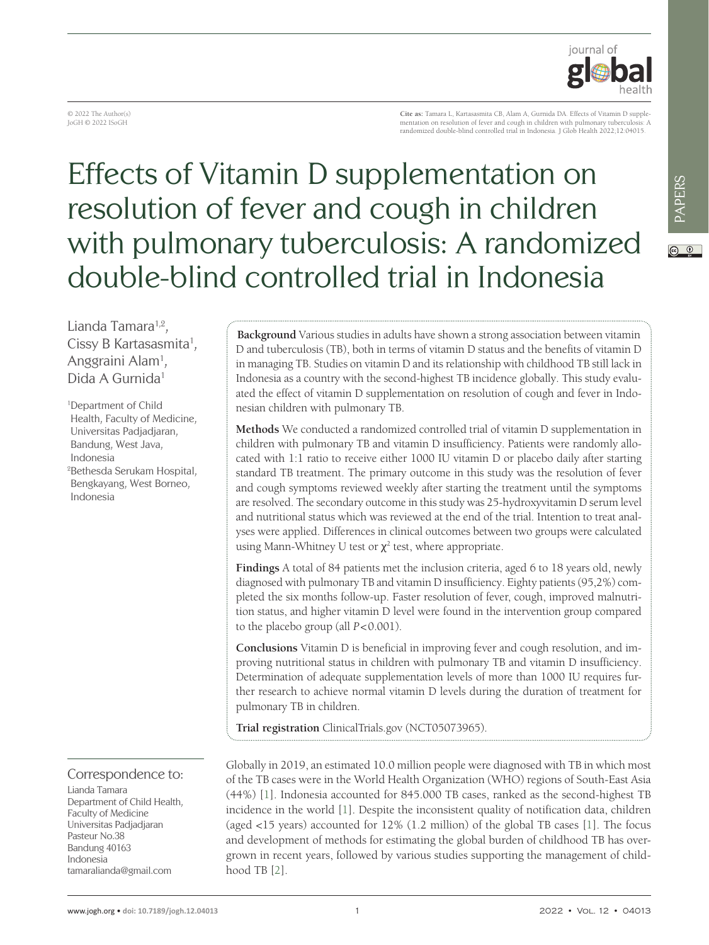

© 2022 The Author(s) JoGH © 2022 ISoGH

**Cite as:** Tamara L, Kartasasmita CB, Alam A, Gurnida DA. Effects of Vitamin D supplementation on resolution of fever and cough in children with pulmonary tuberculosis: A randomized double-blind controlled trial in Indonesia. J Glob Health 2022;12:04015.

# Effects of Vitamin D supplementation on resolution of fever and cough in children with pulmonary tuberculosis: A randomized double-blind controlled trial in Indonesia

 $\odot$   $\odot$ 

Lianda Tamara<sup>1,2</sup>, Cissy B Kartasasmita<sup>1</sup>, Anggraini Alam<sup>1</sup>, Dida A Gurnida1

1 Department of Child Health, Faculty of Medicine, Universitas Padjadjaran, Bandung, West Java, Indonesia 2 Bethesda Serukam Hospital, Bengkayang, West Borneo, Indonesia

## Correspondence to:

Lianda Tamara Department of Child Health, Faculty of Medicine Universitas Padjadjaran Pasteur No.38 Bandung 40163 Indonesia tamaralianda@gmail.com

**Background** Various studies in adults have shown a strong association between vitamin D and tuberculosis (TB), both in terms of vitamin D status and the benefits of vitamin D in managing TB. Studies on vitamin D and its relationship with childhood TB still lack in Indonesia as a country with the second-highest TB incidence globally. This study evaluated the effect of vitamin D supplementation on resolution of cough and fever in Indonesian children with pulmonary TB.

**Methods** We conducted a randomized controlled trial of vitamin D supplementation in children with pulmonary TB and vitamin D insufficiency. Patients were randomly allocated with 1:1 ratio to receive either 1000 IU vitamin D or placebo daily after starting standard TB treatment. The primary outcome in this study was the resolution of fever and cough symptoms reviewed weekly after starting the treatment until the symptoms are resolved. The secondary outcome in this study was 25-hydroxyvitamin D serum level and nutritional status which was reviewed at the end of the trial. Intention to treat analyses were applied. Differences in clinical outcomes between two groups were calculated using Mann-Whitney U test or  $\chi^2$  test, where appropriate.

**Findings** A total of 84 patients met the inclusion criteria, aged 6 to 18 years old, newly diagnosed with pulmonary TB and vitamin D insufficiency. Eighty patients (95,2%) completed the six months follow-up. Faster resolution of fever, cough, improved malnutrition status, and higher vitamin D level were found in the intervention group compared to the placebo group (all *P*<0.001).

**Conclusions** Vitamin D is beneficial in improving fever and cough resolution, and improving nutritional status in children with pulmonary TB and vitamin D insufficiency. Determination of adequate supplementation levels of more than 1000 IU requires further research to achieve normal vitamin D levels during the duration of treatment for pulmonary TB in children.

**Trial registration** ClinicalTrials.gov (NCT05073965).

Globally in 2019, an estimated 10.0 million people were diagnosed with TB in which most of the TB cases were in the World Health Organization (WHO) regions of South-East Asia (44%) [[1\]](#page-6-0). Indonesia accounted for 845.000 TB cases, ranked as the second-highest TB incidence in the world [\[1\]](#page-6-0). Despite the inconsistent quality of notification data, children (aged <15 years) accounted for 12% (1.2 million) of the global TB cases [[1\]](#page-6-0). The focus and development of methods for estimating the global burden of childhood TB has overgrown in recent years, followed by various studies supporting the management of childhood TB [[2\]](#page-6-1).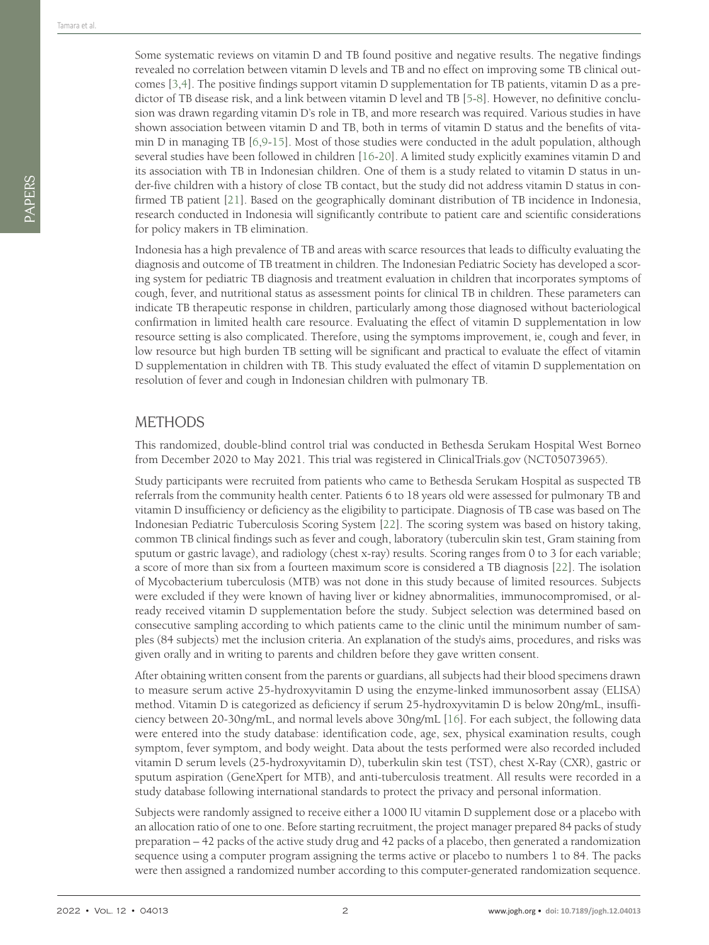Some systematic reviews on vitamin D and TB found positive and negative results. The negative findings revealed no correlation between vitamin D levels and TB and no effect on improving some TB clinical outcomes [[3](#page-6-2)[,4\]](#page-6-3). The positive findings support vitamin D supplementation for TB patients, vitamin D as a predictor of TB disease risk, and a link between vitamin D level and TB [\[5](#page-6-4)-[8\]](#page-6-5). However, no definitive conclusion was drawn regarding vitamin D's role in TB, and more research was required. Various studies in have shown association between vitamin D and TB, both in terms of vitamin D status and the benefits of vitamin D in managing TB [\[6](#page-6-6)[,9](#page-6-7)-[15](#page-6-8)]. Most of those studies were conducted in the adult population, although several studies have been followed in children [\[16-](#page-6-9)[20\]](#page-6-10). A limited study explicitly examines vitamin D and its association with TB in Indonesian children. One of them is a study related to vitamin D status in under-five children with a history of close TB contact, but the study did not address vitamin D status in confirmed TB patient [\[21\]](#page-6-11). Based on the geographically dominant distribution of TB incidence in Indonesia, research conducted in Indonesia will significantly contribute to patient care and scientific considerations for policy makers in TB elimination.

Indonesia has a high prevalence of TB and areas with scarce resources that leads to difficulty evaluating the diagnosis and outcome of TB treatment in children. The Indonesian Pediatric Society has developed a scoring system for pediatric TB diagnosis and treatment evaluation in children that incorporates symptoms of cough, fever, and nutritional status as assessment points for clinical TB in children. These parameters can indicate TB therapeutic response in children, particularly among those diagnosed without bacteriological confirmation in limited health care resource. Evaluating the effect of vitamin D supplementation in low resource setting is also complicated. Therefore, using the symptoms improvement, ie, cough and fever, in low resource but high burden TB setting will be significant and practical to evaluate the effect of vitamin D supplementation in children with TB. This study evaluated the effect of vitamin D supplementation on resolution of fever and cough in Indonesian children with pulmonary TB.

### **METHODS**

This randomized, double-blind control trial was conducted in Bethesda Serukam Hospital West Borneo from December 2020 to May 2021. This trial was registered in ClinicalTrials.gov (NCT05073965).

Study participants were recruited from patients who came to Bethesda Serukam Hospital as suspected TB referrals from the community health center. Patients 6 to 18 years old were assessed for pulmonary TB and vitamin D insufficiency or deficiency as the eligibility to participate. Diagnosis of TB case was based on The Indonesian Pediatric Tuberculosis Scoring System [\[22\]](#page-6-12). The scoring system was based on history taking, common TB clinical findings such as fever and cough, laboratory (tuberculin skin test, Gram staining from sputum or gastric lavage), and radiology (chest x-ray) results. Scoring ranges from 0 to 3 for each variable; a score of more than six from a fourteen maximum score is considered a TB diagnosis [[22](#page-6-12)]. The isolation of Mycobacterium tuberculosis (MTB) was not done in this study because of limited resources. Subjects were excluded if they were known of having liver or kidney abnormalities, immunocompromised, or already received vitamin D supplementation before the study. Subject selection was determined based on consecutive sampling according to which patients came to the clinic until the minimum number of samples (84 subjects) met the inclusion criteria. An explanation of the study's aims, procedures, and risks was given orally and in writing to parents and children before they gave written consent.

After obtaining written consent from the parents or guardians, all subjects had their blood specimens drawn to measure serum active 25-hydroxyvitamin D using the enzyme-linked immunosorbent assay (ELISA) method. Vitamin D is categorized as deficiency if serum 25-hydroxyvitamin D is below 20ng/mL, insufficiency between 20-30ng/mL, and normal levels above 30ng/mL [[16](#page-6-9)]. For each subject, the following data were entered into the study database: identification code, age, sex, physical examination results, cough symptom, fever symptom, and body weight. Data about the tests performed were also recorded included vitamin D serum levels (25-hydroxyvitamin D), tuberkulin skin test (TST), chest X-Ray (CXR), gastric or sputum aspiration (GeneXpert for MTB), and anti-tuberculosis treatment. All results were recorded in a study database following international standards to protect the privacy and personal information.

Subjects were randomly assigned to receive either a 1000 IU vitamin D supplement dose or a placebo with an allocation ratio of one to one. Before starting recruitment, the project manager prepared 84 packs of study preparation – 42 packs of the active study drug and 42 packs of a placebo, then generated a randomization sequence using a computer program assigning the terms active or placebo to numbers 1 to 84. The packs were then assigned a randomized number according to this computer-generated randomization sequence.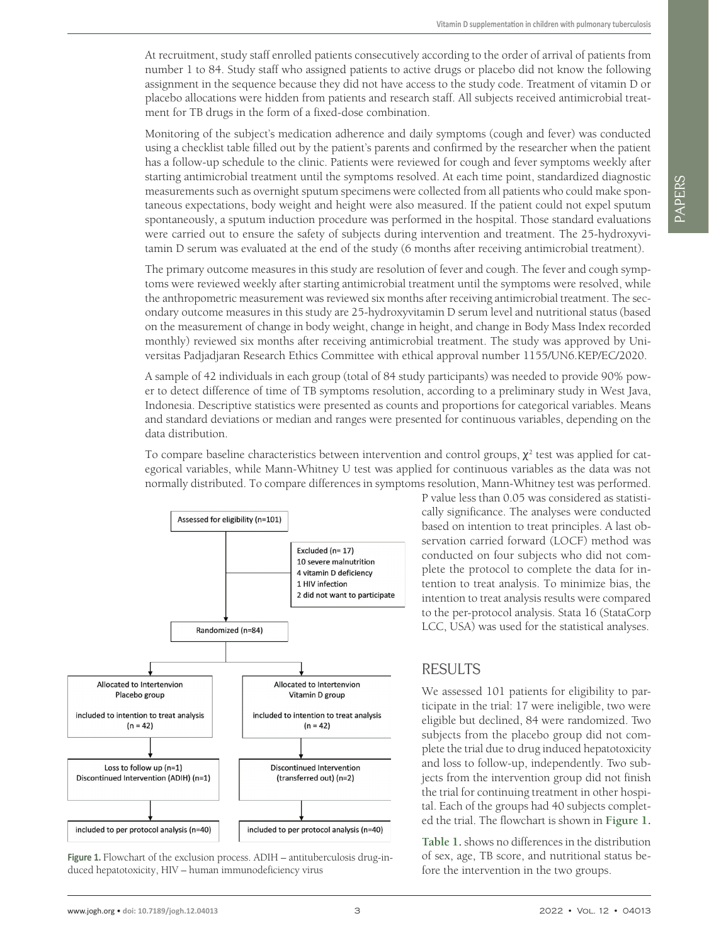At recruitment, study staff enrolled patients consecutively according to the order of arrival of patients from number 1 to 84. Study staff who assigned patients to active drugs or placebo did not know the following assignment in the sequence because they did not have access to the study code. Treatment of vitamin D or placebo allocations were hidden from patients and research staff. All subjects received antimicrobial treatment for TB drugs in the form of a fixed-dose combination.

Monitoring of the subject's medication adherence and daily symptoms (cough and fever) was conducted using a checklist table filled out by the patient's parents and confirmed by the researcher when the patient has a follow-up schedule to the clinic. Patients were reviewed for cough and fever symptoms weekly after starting antimicrobial treatment until the symptoms resolved. At each time point, standardized diagnostic measurements such as overnight sputum specimens were collected from all patients who could make spontaneous expectations, body weight and height were also measured. If the patient could not expel sputum spontaneously, a sputum induction procedure was performed in the hospital. Those standard evaluations were carried out to ensure the safety of subjects during intervention and treatment. The 25-hydroxyvitamin D serum was evaluated at the end of the study (6 months after receiving antimicrobial treatment).

The primary outcome measures in this study are resolution of fever and cough. The fever and cough symptoms were reviewed weekly after starting antimicrobial treatment until the symptoms were resolved, while the anthropometric measurement was reviewed six months after receiving antimicrobial treatment. The secondary outcome measures in this study are 25-hydroxyvitamin D serum level and nutritional status (based on the measurement of change in body weight, change in height, and change in Body Mass Index recorded monthly) reviewed six months after receiving antimicrobial treatment. The study was approved by Universitas Padjadjaran Research Ethics Committee with ethical approval number 1155/UN6.KEP/EC/2020.

A sample of 42 individuals in each group (total of 84 study participants) was needed to provide 90% power to detect difference of time of TB symptoms resolution, according to a preliminary study in West Java, Indonesia. Descriptive statistics were presented as counts and proportions for categorical variables. Means and standard deviations or median and ranges were presented for continuous variables, depending on the data distribution.

To compare baseline characteristics between intervention and control groups,  $\chi^2$  test was applied for categorical variables, while Mann-Whitney U test was applied for continuous variables as the data was not normally distributed. To compare differences in symptoms resolution, Mann-Whitney test was performed.

<span id="page-2-0"></span>

Figure 1. Flowchart of the exclusion process. ADIH – antituberculosis drug-induced hepatotoxicity, HIV – human immunodeficiency virus

P value less than 0.05 was considered as statistically significance. The analyses were conducted based on intention to treat principles. A last observation carried forward (LOCF) method was conducted on four subjects who did not complete the protocol to complete the data for intention to treat analysis. To minimize bias, the intention to treat analysis results were compared to the per-protocol analysis. Stata 16 (StataCorp LCC, USA) was used for the statistical analyses.

## RESULTS

We assessed 101 patients for eligibility to participate in the trial: 17 were ineligible, two were eligible but declined, 84 were randomized. Two subjects from the placebo group did not complete the trial due to drug induced hepatotoxicity and loss to follow-up, independently. Two subjects from the intervention group did not finish the trial for continuing treatment in other hospital. Each of the groups had 40 subjects completed the trial. The flowchart is shown in **[Figure 1](#page-2-0).**

**[Table 1](#page-3-0).** shows no differences in the distribution of sex, age, TB score, and nutritional status before the intervention in the two groups.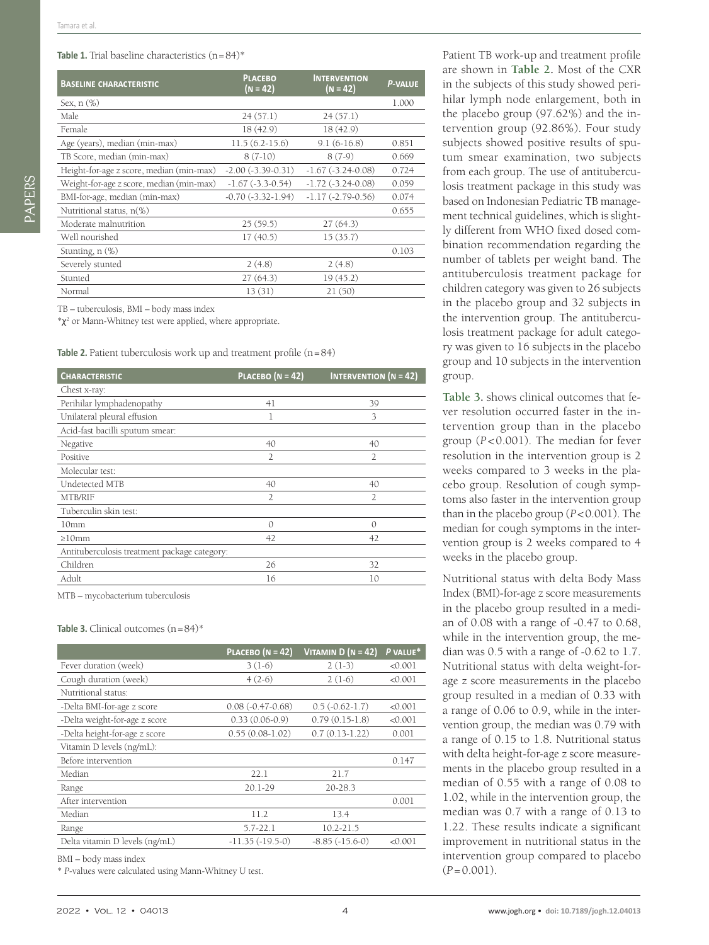#### <span id="page-3-0"></span>Table 1. Trial baseline characteristics (n=84)\*

| <b>BASELINE CHARACTERISTIC</b>           | <b>PLACEBO</b><br>$(N = 42)$ | <b>INTERVENTION</b><br>$(N = 42)$ | <b>P-VALUE</b> |
|------------------------------------------|------------------------------|-----------------------------------|----------------|
| Sex, $n$ $(\%)$                          |                              |                                   | 1.000          |
| Male                                     | 24(57.1)                     | 24(57.1)                          |                |
| Female                                   | 18 (42.9)                    | 18(42.9)                          |                |
| Age (years), median (min-max)            | $11.5(6.2-15.6)$             | $9.1(6-16.8)$                     | 0.851          |
| TB Score, median (min-max)               | $8(7-10)$                    | $8(7-9)$                          | 0.669          |
| Height-for-age z score, median (min-max) | $-2.00(-3.39-0.31)$          | $-1.67$ $(-3.24 - 0.08)$          | 0.724          |
| Weight-for-age z score, median (min-max) | $-1.67$ $(-3.3 - 0.54)$      | $-1.72$ $(-3.24 - 0.08)$          | 0.059          |
| BMI-for-age, median (min-max)            | $-0.70(-3.32-1.94)$          | $-1.17(-2.79-0.56)$               | 0.074          |
| Nutritional status, n(%)                 |                              |                                   | 0.655          |
| Moderate malnutrition                    | 25(59.5)                     | 27(64.3)                          |                |
| Well nourished                           | 17(40.5)                     | 15(35.7)                          |                |
| Stunting, $n$ $(\%)$                     |                              |                                   | 0.103          |
| Severely stunted                         | 2(4.8)                       | 2(4.8)                            |                |
| Stunted                                  | 27(64.3)                     | 19(45.2)                          |                |
| Normal                                   | 13(31)                       | 21(50)                            |                |

TB – tuberculosis, BMI – body mass index

 $*\chi^2$  or Mann-Whitney test were applied, where appropriate.

<span id="page-3-1"></span>Table 2. Patient tuberculosis work up and treatment profile (n=84)

| <b>CHARACTERISTIC</b>                        | PLACEBO ( $N = 42$ ) | <b>INTERVENTION</b> ( $N = 42$ ) |
|----------------------------------------------|----------------------|----------------------------------|
| Chest x-ray:                                 |                      |                                  |
| Perihilar lymphadenopathy                    | 41                   | 39                               |
| Unilateral pleural effusion                  | 1                    | 3                                |
| Acid-fast bacilli sputum smear:              |                      |                                  |
| Negative                                     | 40                   | 40                               |
| Positive                                     | $\overline{2}$       | $\overline{2}$                   |
| Molecular test:                              |                      |                                  |
| Undetected MTB                               | 40                   | 40                               |
| MTB/RIF                                      | $\overline{2}$       | $\overline{2}$                   |
| Tuberculin skin test:                        |                      |                                  |
| 10 <sub>mm</sub>                             | $\Omega$             | $\Omega$                         |
| $\geq 10$ mm                                 | 42                   | 42                               |
| Antituberculosis treatment package category: |                      |                                  |
| Children                                     | 26                   | 32                               |
| Adult                                        | 16                   | 10                               |

MTB – mycobacterium tuberculosis

#### <span id="page-3-2"></span>**Table 3.** Clinical outcomes  $(n=84)^*$

|                                | PLACEBO ( $N = 42$ ) | VITAMIN $D (N = 42)$ | P VALUE* |
|--------------------------------|----------------------|----------------------|----------|
| Fever duration (week)          | $3(1-6)$             | $2(1-3)$             | < 0.001  |
| Cough duration (week)          | $4(2-6)$             | $2(1-6)$             | < 0.001  |
| Nutritional status:            |                      |                      |          |
| -Delta BMI-for-age z score     | $0.08(-0.47-0.68)$   | $0.5(-0.62-1.7)$     | < 0.001  |
| -Delta weight-for-age z score  | $0.33(0.06-0.9)$     | $0.79(0.15-1.8)$     | < 0.001  |
| -Delta height-for-age z score  | $0.55(0.08-1.02)$    | $0.7(0.13-1.22)$     | 0.001    |
| Vitamin D levels (ng/mL):      |                      |                      |          |
| Before intervention            |                      |                      | 0.147    |
| Median                         | 22.1                 | 21.7                 |          |
| Range                          | $20.1 - 29$          | 20-28.3              |          |
| After intervention             |                      |                      | 0.001    |
| Median                         | 11.2                 | 13.4                 |          |
| Range                          | $5.7 - 22.1$         | $10.2 - 21.5$        |          |
| Delta vitamin D levels (ng/mL) | $-11.35(-19.5-0)$    | $-8.85(-15.6-0)$     | < 0.001  |

BMI – body mass index

\* *P*-values were calculated using Mann-Whitney U test.

Patient TB work-up and treatment profile are shown in **[Table 2](#page-3-1).** Most of the CXR in the subjects of this study showed perihilar lymph node enlargement, both in the placebo group (97.62%) and the intervention group (92.86%). Four study subjects showed positive results of sputum smear examination, two subjects from each group. The use of antituberculosis treatment package in this study was based on Indonesian Pediatric TB management technical guidelines, which is slightly different from WHO fixed dosed combination recommendation regarding the number of tablets per weight band. The antituberculosis treatment package for children category was given to 26 subjects in the placebo group and 32 subjects in the intervention group. The antituberculosis treatment package for adult category was given to 16 subjects in the placebo group and 10 subjects in the intervention group.

**[Table 3.](#page-3-2)** shows clinical outcomes that fever resolution occurred faster in the intervention group than in the placebo group (*P* < 0.001). The median for fever resolution in the intervention group is 2 weeks compared to 3 weeks in the placebo group. Resolution of cough symptoms also faster in the intervention group than in the placebo group (*P*<0.001). The median for cough symptoms in the intervention group is 2 weeks compared to 4 weeks in the placebo group.

Nutritional status with delta Body Mass Index (BMI)-for-age z score measurements in the placebo group resulted in a median of 0.08 with a range of -0.47 to 0.68, while in the intervention group, the median was 0.5 with a range of -0.62 to 1.7. Nutritional status with delta weight-forage z score measurements in the placebo group resulted in a median of 0.33 with a range of 0.06 to 0.9, while in the intervention group, the median was 0.79 with a range of 0.15 to 1.8. Nutritional status with delta height-for-age z score measurements in the placebo group resulted in a median of 0.55 with a range of 0.08 to 1.02, while in the intervention group, the median was 0.7 with a range of 0.13 to 1.22. These results indicate a significant improvement in nutritional status in the intervention group compared to placebo  $(P=0.001)$ .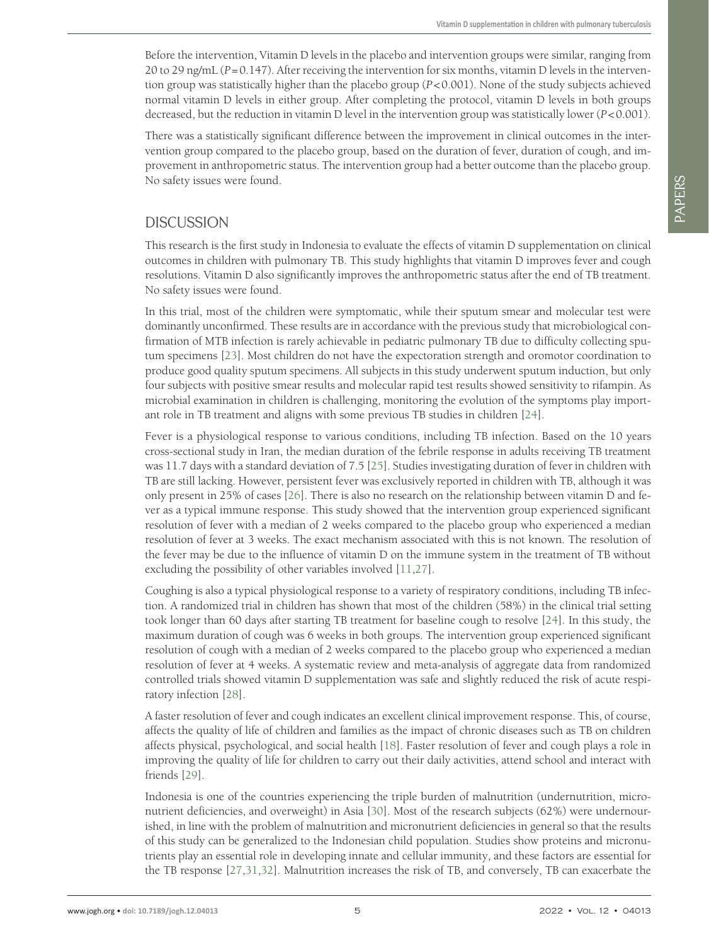Before the intervention, Vitamin D levels in the placebo and intervention groups were similar, ranging from 20 to 29 ng/mL (*P*=0.147). After receiving the intervention for six months, vitamin D levels in the intervention group was statistically higher than the placebo group (*P*<0.001). None of the study subjects achieved normal vitamin D levels in either group. After completing the protocol, vitamin D levels in both groups decreased, but the reduction in vitamin D level in the intervention group was statistically lower (*P*<0.001).

There was a statistically significant difference between the improvement in clinical outcomes in the intervention group compared to the placebo group, based on the duration of fever, duration of cough, and improvement in anthropometric status. The intervention group had a better outcome than the placebo group. No safety issues were found.

## **DISCUSSION**

This research is the first study in Indonesia to evaluate the effects of vitamin D supplementation on clinical outcomes in children with pulmonary TB. This study highlights that vitamin D improves fever and cough resolutions. Vitamin D also significantly improves the anthropometric status after the end of TB treatment. No safety issues were found.

In this trial, most of the children were symptomatic, while their sputum smear and molecular test were dominantly unconfirmed. These results are in accordance with the previous study that microbiological confirmation of MTB infection is rarely achievable in pediatric pulmonary TB due to difficulty collecting sputum specimens [[23](#page-6-13)]. Most children do not have the expectoration strength and oromotor coordination to produce good quality sputum specimens. All subjects in this study underwent sputum induction, but only four subjects with positive smear results and molecular rapid test results showed sensitivity to rifampin. As microbial examination in children is challenging, monitoring the evolution of the symptoms play important role in TB treatment and aligns with some previous TB studies in children [\[24\]](#page-6-14).

Fever is a physiological response to various conditions, including TB infection. Based on the 10 years cross-sectional study in Iran, the median duration of the febrile response in adults receiving TB treatment was 11.7 days with a standard deviation of 7.5 [[25](#page-6-15)]. Studies investigating duration of fever in children with TB are still lacking. However, persistent fever was exclusively reported in children with TB, although it was only present in 25% of cases [[26](#page-6-16)]. There is also no research on the relationship between vitamin D and fever as a typical immune response. This study showed that the intervention group experienced significant resolution of fever with a median of 2 weeks compared to the placebo group who experienced a median resolution of fever at 3 weeks. The exact mechanism associated with this is not known. The resolution of the fever may be due to the influence of vitamin D on the immune system in the treatment of TB without excluding the possibility of other variables involved [[11](#page-6-17),[27](#page-6-18)].

Coughing is also a typical physiological response to a variety of respiratory conditions, including TB infection. A randomized trial in children has shown that most of the children (58%) in the clinical trial setting took longer than 60 days after starting TB treatment for baseline cough to resolve [\[24\]](#page-6-14). In this study, the maximum duration of cough was 6 weeks in both groups. The intervention group experienced significant resolution of cough with a median of 2 weeks compared to the placebo group who experienced a median resolution of fever at 4 weeks. A systematic review and meta-analysis of aggregate data from randomized controlled trials showed vitamin D supplementation was safe and slightly reduced the risk of acute respiratory infection [[28](#page-6-19)].

A faster resolution of fever and cough indicates an excellent clinical improvement response. This, of course, affects the quality of life of children and families as the impact of chronic diseases such as TB on children affects physical, psychological, and social health [\[18\]](#page-6-20). Faster resolution of fever and cough plays a role in improving the quality of life for children to carry out their daily activities, attend school and interact with friends [[29](#page-7-0)].

Indonesia is one of the countries experiencing the triple burden of malnutrition (undernutrition, micronutrient deficiencies, and overweight) in Asia [[30](#page-7-1)]. Most of the research subjects (62%) were undernourished, in line with the problem of malnutrition and micronutrient deficiencies in general so that the results of this study can be generalized to the Indonesian child population. Studies show proteins and micronutrients play an essential role in developing innate and cellular immunity, and these factors are essential for the TB response [\[27,](#page-6-18)[31](#page-7-2)[,32\]](#page-7-3). Malnutrition increases the risk of TB, and conversely, TB can exacerbate the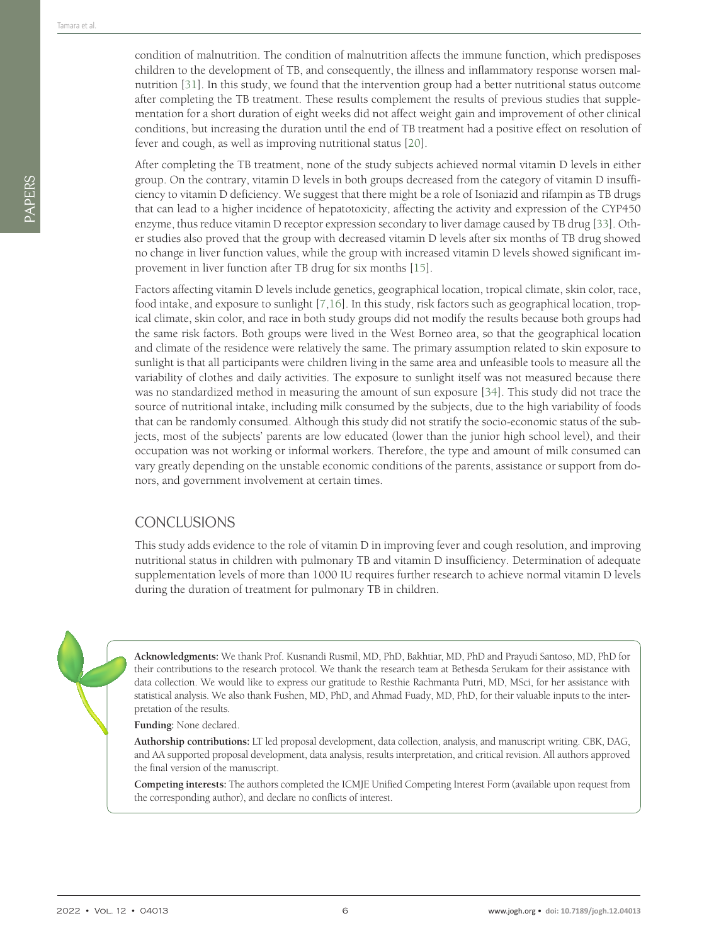After completing the TB treatment, none of the study subjects achieved normal vitamin D levels in either group. On the contrary, vitamin D levels in both groups decreased from the category of vitamin D insufficiency to vitamin D deficiency. We suggest that there might be a role of Isoniazid and rifampin as TB drugs that can lead to a higher incidence of hepatotoxicity, affecting the activity and expression of the CYP450 enzyme, thus reduce vitamin D receptor expression secondary to liver damage caused by TB drug [\[33\]](#page-7-4). Other studies also proved that the group with decreased vitamin D levels after six months of TB drug showed no change in liver function values, while the group with increased vitamin D levels showed significant improvement in liver function after TB drug for six months [\[15\]](#page-6-8).

Factors affecting vitamin D levels include genetics, geographical location, tropical climate, skin color, race, food intake, and exposure to sunlight [[7](#page-6-21)[,16\]](#page-6-9). In this study, risk factors such as geographical location, tropical climate, skin color, and race in both study groups did not modify the results because both groups had the same risk factors. Both groups were lived in the West Borneo area, so that the geographical location and climate of the residence were relatively the same. The primary assumption related to skin exposure to sunlight is that all participants were children living in the same area and unfeasible tools to measure all the variability of clothes and daily activities. The exposure to sunlight itself was not measured because there was no standardized method in measuring the amount of sun exposure [\[34\]](#page-7-5). This study did not trace the source of nutritional intake, including milk consumed by the subjects, due to the high variability of foods that can be randomly consumed. Although this study did not stratify the socio-economic status of the subjects, most of the subjects' parents are low educated (lower than the junior high school level), and their occupation was not working or informal workers. Therefore, the type and amount of milk consumed can vary greatly depending on the unstable economic conditions of the parents, assistance or support from donors, and government involvement at certain times.

## **CONCLUSIONS**

This study adds evidence to the role of vitamin D in improving fever and cough resolution, and improving nutritional status in children with pulmonary TB and vitamin D insufficiency. Determination of adequate supplementation levels of more than 1000 IU requires further research to achieve normal vitamin D levels during the duration of treatment for pulmonary TB in children.



**Acknowledgments:** We thank Prof. Kusnandi Rusmil, MD, PhD, Bakhtiar, MD, PhD and Prayudi Santoso, MD, PhD for their contributions to the research protocol. We thank the research team at Bethesda Serukam for their assistance with data collection. We would like to express our gratitude to Resthie Rachmanta Putri, MD, MSci, for her assistance with statistical analysis. We also thank Fushen, MD, PhD, and Ahmad Fuady, MD, PhD, for their valuable inputs to the interpretation of the results.

**Funding:** None declared.

**Authorship contributions:** LT led proposal development, data collection, analysis, and manuscript writing. CBK, DAG, and AA supported proposal development, data analysis, results interpretation, and critical revision. All authors approved the final version of the manuscript.

**Competing interests:** The authors completed the ICMJE Unified Competing Interest Form (available upon request from the corresponding author), and declare no conflicts of interest.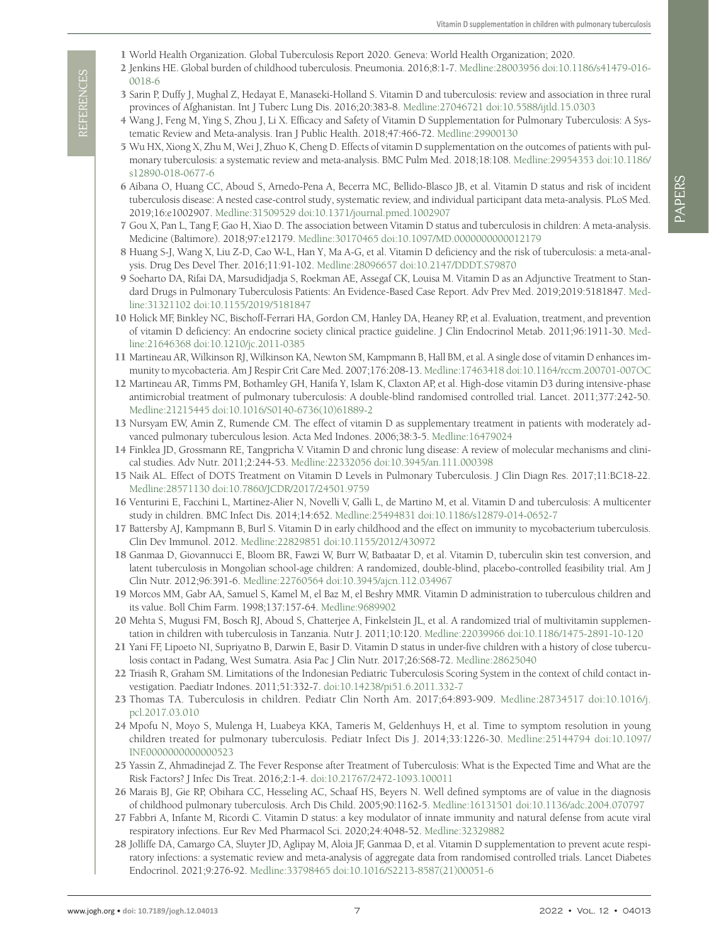- <span id="page-6-0"></span>1 World Health Organization. Global Tuberculosis Report 2020. Geneva: World Health Organization; 2020.
- <span id="page-6-1"></span>2 Jenkins HE. Global burden of childhood tuberculosis. Pneumonia. 2016;8:1-7. [Medline:28003956](https://www.ncbi.nlm.nih.gov/entrez/query.fcgi?cmd=Retrieve&db=PubMed&list_uids=28003956&dopt=Abstract) [doi:10.1186/s41479-016-](https://doi.org/10.1186/s41479-016-0018-6) [0018-6](https://doi.org/10.1186/s41479-016-0018-6)
- <span id="page-6-2"></span>3 Sarin P, Duffy J, Mughal Z, Hedayat E, Manaseki-Holland S. Vitamin D and tuberculosis: review and association in three rural provinces of Afghanistan. Int J Tuberc Lung Dis. 2016;20:383-8. [Medline:27046721](https://www.ncbi.nlm.nih.gov/entrez/query.fcgi?cmd=Retrieve&db=PubMed&list_uids=27046721&dopt=Abstract) [doi:10.5588/ijtld.15.0303](https://doi.org/10.5588/ijtld.15.0303)
- <span id="page-6-3"></span>4 Wang J, Feng M, Ying S, Zhou J, Li X. Efficacy and Safety of Vitamin D Supplementation for Pulmonary Tuberculosis: A Systematic Review and Meta-analysis. Iran J Public Health. 2018;47:466-72. [Medline:29900130](https://www.ncbi.nlm.nih.gov/entrez/query.fcgi?cmd=Retrieve&db=PubMed&list_uids=29900130&dopt=Abstract)
- <span id="page-6-4"></span>5 Wu HX, Xiong X, Zhu M, Wei J, Zhuo K, Cheng D. Effects of vitamin D supplementation on the outcomes of patients with pulmonary tuberculosis: a systematic review and meta-analysis. BMC Pulm Med. 2018;18:108. [Medline:29954353](https://www.ncbi.nlm.nih.gov/entrez/query.fcgi?cmd=Retrieve&db=PubMed&list_uids=29954353&dopt=Abstract) [doi:10.1186/](https://doi.org/10.1186/s12890-018-0677-6) [s12890-018-0677-6](https://doi.org/10.1186/s12890-018-0677-6)
- <span id="page-6-6"></span>6 Aibana O, Huang CC, Aboud S, Arnedo-Pena A, Becerra MC, Bellido-Blasco JB, et al. Vitamin D status and risk of incident tuberculosis disease: A nested case-control study, systematic review, and individual participant data meta-analysis. PLoS Med. 2019;16:e1002907. [Medline:31509529](https://www.ncbi.nlm.nih.gov/entrez/query.fcgi?cmd=Retrieve&db=PubMed&list_uids=31509529&dopt=Abstract) [doi:10.1371/journal.pmed.1002907](https://doi.org/10.1371/journal.pmed.1002907)
- <span id="page-6-21"></span>7 Gou X, Pan L, Tang F, Gao H, Xiao D. The association between Vitamin D status and tuberculosis in children: A meta-analysis. Medicine (Baltimore). 2018;97:e12179. [Medline:30170465](https://www.ncbi.nlm.nih.gov/entrez/query.fcgi?cmd=Retrieve&db=PubMed&list_uids=30170465&dopt=Abstract) [doi:10.1097/MD.0000000000012179](https://doi.org/10.1097/MD.0000000000012179)
- <span id="page-6-5"></span>8 Huang S-J, Wang X, Liu Z-D, Cao W-L, Han Y, Ma A-G, et al. Vitamin D deficiency and the risk of tuberculosis: a meta-analysis. Drug Des Devel Ther. 2016;11:91-102. [Medline:28096657](https://www.ncbi.nlm.nih.gov/entrez/query.fcgi?cmd=Retrieve&db=PubMed&list_uids=28096657&dopt=Abstract) [doi:10.2147/DDDT.S79870](https://doi.org/10.2147/DDDT.S79870)
- <span id="page-6-7"></span>9 Soeharto DA, Rifai DA, Marsudidjadja S, Roekman AE, Assegaf CK, Louisa M. Vitamin D as an Adjunctive Treatment to Standard Drugs in Pulmonary Tuberculosis Patients: An Evidence-Based Case Report. Adv Prev Med. 2019;2019:5181847. [Med](https://www.ncbi.nlm.nih.gov/entrez/query.fcgi?cmd=Retrieve&db=PubMed&list_uids=31321102&dopt=Abstract)[line:31321102](https://www.ncbi.nlm.nih.gov/entrez/query.fcgi?cmd=Retrieve&db=PubMed&list_uids=31321102&dopt=Abstract) [doi:10.1155/2019/5181847](https://doi.org/10.1155/2019/5181847)
- 10 Holick MF, Binkley NC, Bischoff-Ferrari HA, Gordon CM, Hanley DA, Heaney RP, et al. Evaluation, treatment, and prevention of vitamin D deficiency: An endocrine society clinical practice guideline. J Clin Endocrinol Metab. 2011;96:1911-30. [Med](https://www.ncbi.nlm.nih.gov/entrez/query.fcgi?cmd=Retrieve&db=PubMed&list_uids=21646368&dopt=Abstract)[line:21646368](https://www.ncbi.nlm.nih.gov/entrez/query.fcgi?cmd=Retrieve&db=PubMed&list_uids=21646368&dopt=Abstract) [doi:10.1210/jc.2011-0385](https://doi.org/10.1210/jc.2011-0385)
- <span id="page-6-17"></span>11 Martineau AR, Wilkinson RJ, Wilkinson KA, Newton SM, Kampmann B, Hall BM, et al. A single dose of vitamin D enhances immunity to mycobacteria. Am J Respir Crit Care Med. 2007;176:208-13. [Medline:17463418](https://www.ncbi.nlm.nih.gov/entrez/query.fcgi?cmd=Retrieve&db=PubMed&list_uids=17463418&dopt=Abstract) [doi:10.1164/rccm.200701-007OC](https://doi.org/10.1164/rccm.200701-007OC)
- 12 Martineau AR, Timms PM, Bothamley GH, Hanifa Y, Islam K, Claxton AP, et al. High-dose vitamin D3 during intensive-phase antimicrobial treatment of pulmonary tuberculosis: A double-blind randomised controlled trial. Lancet. 2011;377:242-50. [Medline:21215445](https://www.ncbi.nlm.nih.gov/entrez/query.fcgi?cmd=Retrieve&db=PubMed&list_uids=21215445&dopt=Abstract) [doi:10.1016/S0140-6736\(10\)61889-2](https://doi.org/10.1016/S0140-6736(10)61889-2)
- 13 Nursyam EW, Amin Z, Rumende CM. The effect of vitamin D as supplementary treatment in patients with moderately advanced pulmonary tuberculous lesion. Acta Med Indones. 2006;38:3-5. [Medline:16479024](https://www.ncbi.nlm.nih.gov/entrez/query.fcgi?cmd=Retrieve&db=PubMed&list_uids=16479024&dopt=Abstract)
- 14 Finklea JD, Grossmann RE, Tangpricha V. Vitamin D and chronic lung disease: A review of molecular mechanisms and clinical studies. Adv Nutr. 2011;2:244-53. [Medline:22332056](https://www.ncbi.nlm.nih.gov/entrez/query.fcgi?cmd=Retrieve&db=PubMed&list_uids=22332056&dopt=Abstract) [doi:10.3945/an.111.000398](https://doi.org/10.3945/an.111.000398)
- <span id="page-6-8"></span>15 Naik AL. Effect of DOTS Treatment on Vitamin D Levels in Pulmonary Tuberculosis. J Clin Diagn Res. 2017;11:BC18-22. [Medline:28571130](https://www.ncbi.nlm.nih.gov/entrez/query.fcgi?cmd=Retrieve&db=PubMed&list_uids=28571130&dopt=Abstract) [doi:10.7860/JCDR/2017/24501.9759](https://doi.org/10.7860/JCDR/2017/24501.9759)
- <span id="page-6-9"></span>16 Venturini E, Facchini L, Martinez-Alier N, Novelli V, Galli L, de Martino M, et al. Vitamin D and tuberculosis: A multicenter study in children. BMC Infect Dis. 2014;14:652. [Medline:25494831](https://www.ncbi.nlm.nih.gov/entrez/query.fcgi?cmd=Retrieve&db=PubMed&list_uids=25494831&dopt=Abstract) [doi:10.1186/s12879-014-0652-7](https://doi.org/10.1186/s12879-014-0652-7)
- 17 Battersby AJ, Kampmann B, Burl S. Vitamin D in early childhood and the effect on immunity to mycobacterium tuberculosis. Clin Dev Immunol. 2012. [Medline:22829851](https://www.ncbi.nlm.nih.gov/entrez/query.fcgi?cmd=Retrieve&db=PubMed&list_uids=22829851&dopt=Abstract) [doi:10.1155/2012/430972](https://doi.org/10.1155/2012/430972)
- <span id="page-6-20"></span>18 Ganmaa D, Giovannucci E, Bloom BR, Fawzi W, Burr W, Batbaatar D, et al. Vitamin D, tuberculin skin test conversion, and latent tuberculosis in Mongolian school-age children: A randomized, double-blind, placebo-controlled feasibility trial. Am J Clin Nutr. 2012;96:391-6. [Medline:22760564](https://www.ncbi.nlm.nih.gov/entrez/query.fcgi?cmd=Retrieve&db=PubMed&list_uids=22760564&dopt=Abstract) [doi:10.3945/ajcn.112.034967](https://doi.org/10.3945/ajcn.112.034967)
- 19 Morcos MM, Gabr AA, Samuel S, Kamel M, el Baz M, el Beshry MMR. Vitamin D administration to tuberculous children and its value. Boll Chim Farm. 1998;137:157-64. [Medline:9689902](https://www.ncbi.nlm.nih.gov/entrez/query.fcgi?cmd=Retrieve&db=PubMed&list_uids=9689902&dopt=Abstract)
- <span id="page-6-10"></span>20 Mehta S, Mugusi FM, Bosch RJ, Aboud S, Chatterjee A, Finkelstein JL, et al. A randomized trial of multivitamin supplementation in children with tuberculosis in Tanzania. Nutr J. 2011;10:120. [Medline:22039966](https://www.ncbi.nlm.nih.gov/entrez/query.fcgi?cmd=Retrieve&db=PubMed&list_uids=22039966&dopt=Abstract) [doi:10.1186/1475-2891-10-120](https://doi.org/10.1186/1475-2891-10-120)
- <span id="page-6-11"></span>21 Yani FF, Lipoeto NI, Supriyatno B, Darwin E, Basir D. Vitamin D status in under-five children with a history of close tuberculosis contact in Padang, West Sumatra. Asia Pac J Clin Nutr. 2017;26:S68-72. [Medline:28625040](https://www.ncbi.nlm.nih.gov/entrez/query.fcgi?cmd=Retrieve&db=PubMed&list_uids=28625040&dopt=Abstract)
- <span id="page-6-12"></span>22 Triasih R, Graham SM. Limitations of the Indonesian Pediatric Tuberculosis Scoring System in the context of child contact investigation. Paediatr Indones. 2011;51:332-7. [doi:10.14238/pi51.6.2011.332-7](https://doi.org/10.14238/pi51.6.2011.332-7)
- <span id="page-6-13"></span>23 Thomas TA. Tuberculosis in children. Pediatr Clin North Am. 2017;64:893-909. [Medline:28734517](https://www.ncbi.nlm.nih.gov/entrez/query.fcgi?cmd=Retrieve&db=PubMed&list_uids=28734517&dopt=Abstract) [doi:10.1016/j.](https://doi.org/10.1016/j.pcl.2017.03.010) [pcl.2017.03.010](https://doi.org/10.1016/j.pcl.2017.03.010)
- <span id="page-6-14"></span>24 Mpofu N, Moyo S, Mulenga H, Luabeya KKA, Tameris M, Geldenhuys H, et al. Time to symptom resolution in young children treated for pulmonary tuberculosis. Pediatr Infect Dis J. 2014;33:1226-30. [Medline:25144794](https://www.ncbi.nlm.nih.gov/entrez/query.fcgi?cmd=Retrieve&db=PubMed&list_uids=25144794&dopt=Abstract) [doi:10.1097/](https://doi.org/10.1097/INF.0000000000000523) [INF.0000000000000523](https://doi.org/10.1097/INF.0000000000000523)
- <span id="page-6-15"></span>25 Yassin Z, Ahmadinejad Z. The Fever Response after Treatment of Tuberculosis: What is the Expected Time and What are the Risk Factors? J Infec Dis Treat. 2016;2:1-4. [doi:10.21767/2472-1093.100011](https://doi.org/10.21767/2472-1093.100011)
- <span id="page-6-16"></span>26 Marais BJ, Gie RP, Obihara CC, Hesseling AC, Schaaf HS, Beyers N. Well defined symptoms are of value in the diagnosis of childhood pulmonary tuberculosis. Arch Dis Child. 2005;90:1162-5. [Medline:16131501](https://www.ncbi.nlm.nih.gov/entrez/query.fcgi?cmd=Retrieve&db=PubMed&list_uids=16131501&dopt=Abstract) [doi:10.1136/adc.2004.070797](https://doi.org/10.1136/adc.2004.070797)
- <span id="page-6-19"></span><span id="page-6-18"></span>27 Fabbri A, Infante M, Ricordi C. Vitamin D status: a key modulator of innate immunity and natural defense from acute viral respiratory infections. Eur Rev Med Pharmacol Sci. 2020;24:4048-52. [Medline:32329882](https://www.ncbi.nlm.nih.gov/entrez/query.fcgi?cmd=Retrieve&db=PubMed&list_uids=32329882&dopt=Abstract)
- with the specific organization of the specific organization of the specific organization of the specific organization of the specific organization of the specific organization of the specific organization of the specific 28 Jolliffe DA, Camargo CA, Sluyter JD, Aglipay M, Aloia JF, Ganmaa D, et al. Vitamin D supplementation to prevent acute respiratory infections: a systematic review and meta-analysis of aggregate data from randomised controlled trials. Lancet Diabetes Endocrinol. 2021;9:276-92. [Medline:33798465](https://www.ncbi.nlm.nih.gov/entrez/query.fcgi?cmd=Retrieve&db=PubMed&list_uids=33798465&dopt=Abstract) [doi:10.1016/S2213-8587\(21\)00051-6](https://doi.org/10.1016/S2213-8587(21)00051-6)